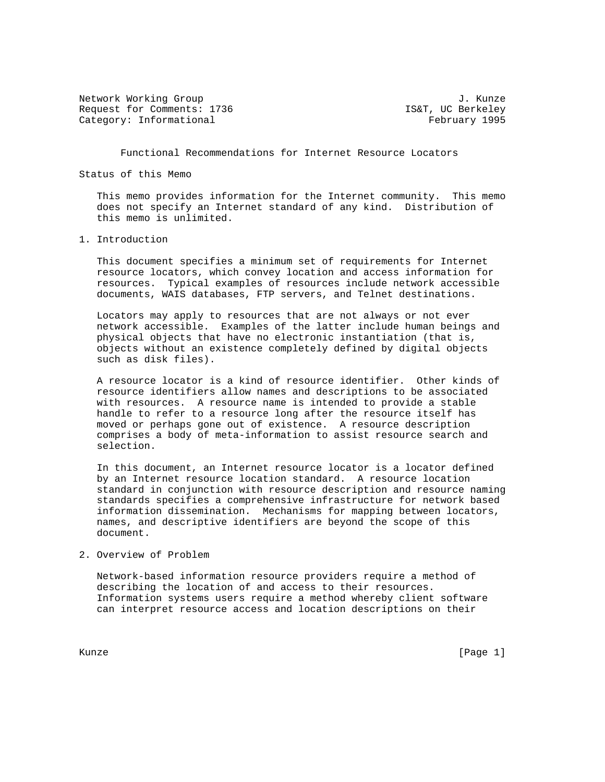Network Working Group<br>Request for Comments: 1736 Germany J. Kunze Request for Comments: 1736 Category: Informational example of the example of the February 1995

Functional Recommendations for Internet Resource Locators

Status of this Memo

 This memo provides information for the Internet community. This memo does not specify an Internet standard of any kind. Distribution of this memo is unlimited.

## 1. Introduction

 This document specifies a minimum set of requirements for Internet resource locators, which convey location and access information for resources. Typical examples of resources include network accessible documents, WAIS databases, FTP servers, and Telnet destinations.

 Locators may apply to resources that are not always or not ever network accessible. Examples of the latter include human beings and physical objects that have no electronic instantiation (that is, objects without an existence completely defined by digital objects such as disk files).

 A resource locator is a kind of resource identifier. Other kinds of resource identifiers allow names and descriptions to be associated with resources. A resource name is intended to provide a stable handle to refer to a resource long after the resource itself has moved or perhaps gone out of existence. A resource description comprises a body of meta-information to assist resource search and selection.

 In this document, an Internet resource locator is a locator defined by an Internet resource location standard. A resource location standard in conjunction with resource description and resource naming standards specifies a comprehensive infrastructure for network based information dissemination. Mechanisms for mapping between locators, names, and descriptive identifiers are beyond the scope of this document.

# 2. Overview of Problem

 Network-based information resource providers require a method of describing the location of and access to their resources. Information systems users require a method whereby client software can interpret resource access and location descriptions on their

Kunze [Page 1]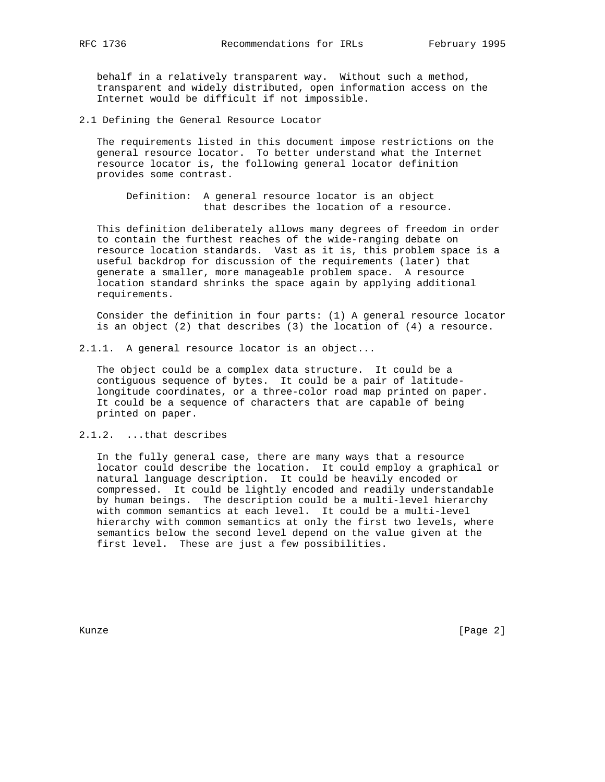behalf in a relatively transparent way. Without such a method, transparent and widely distributed, open information access on the Internet would be difficult if not impossible.

2.1 Defining the General Resource Locator

 The requirements listed in this document impose restrictions on the general resource locator. To better understand what the Internet resource locator is, the following general locator definition provides some contrast.

 Definition: A general resource locator is an object that describes the location of a resource.

 This definition deliberately allows many degrees of freedom in order to contain the furthest reaches of the wide-ranging debate on resource location standards. Vast as it is, this problem space is a useful backdrop for discussion of the requirements (later) that generate a smaller, more manageable problem space. A resource location standard shrinks the space again by applying additional requirements.

 Consider the definition in four parts: (1) A general resource locator is an object (2) that describes (3) the location of (4) a resource.

2.1.1. A general resource locator is an object...

 The object could be a complex data structure. It could be a contiguous sequence of bytes. It could be a pair of latitude longitude coordinates, or a three-color road map printed on paper. It could be a sequence of characters that are capable of being printed on paper.

2.1.2. ...that describes

 In the fully general case, there are many ways that a resource locator could describe the location. It could employ a graphical or natural language description. It could be heavily encoded or compressed. It could be lightly encoded and readily understandable by human beings. The description could be a multi-level hierarchy with common semantics at each level. It could be a multi-level hierarchy with common semantics at only the first two levels, where semantics below the second level depend on the value given at the first level. These are just a few possibilities.

Kunze [Page 2]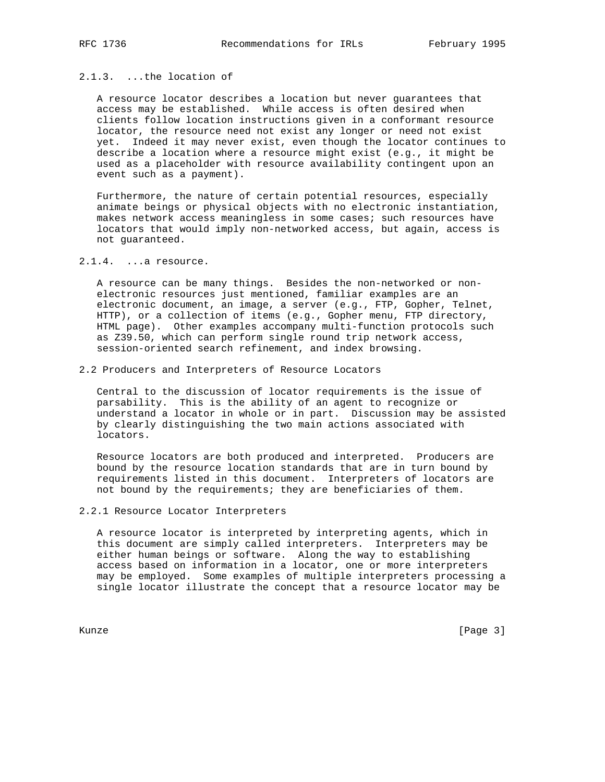# 2.1.3. ...the location of

 A resource locator describes a location but never guarantees that access may be established. While access is often desired when clients follow location instructions given in a conformant resource locator, the resource need not exist any longer or need not exist yet. Indeed it may never exist, even though the locator continues to describe a location where a resource might exist (e.g., it might be used as a placeholder with resource availability contingent upon an event such as a payment).

 Furthermore, the nature of certain potential resources, especially animate beings or physical objects with no electronic instantiation, makes network access meaningless in some cases; such resources have locators that would imply non-networked access, but again, access is not guaranteed.

## 2.1.4. ...a resource.

 A resource can be many things. Besides the non-networked or non electronic resources just mentioned, familiar examples are an electronic document, an image, a server (e.g., FTP, Gopher, Telnet, HTTP), or a collection of items (e.g., Gopher menu, FTP directory, HTML page). Other examples accompany multi-function protocols such as Z39.50, which can perform single round trip network access, session-oriented search refinement, and index browsing.

#### 2.2 Producers and Interpreters of Resource Locators

 Central to the discussion of locator requirements is the issue of parsability. This is the ability of an agent to recognize or understand a locator in whole or in part. Discussion may be assisted by clearly distinguishing the two main actions associated with locators.

 Resource locators are both produced and interpreted. Producers are bound by the resource location standards that are in turn bound by requirements listed in this document. Interpreters of locators are not bound by the requirements; they are beneficiaries of them.

#### 2.2.1 Resource Locator Interpreters

 A resource locator is interpreted by interpreting agents, which in this document are simply called interpreters. Interpreters may be either human beings or software. Along the way to establishing access based on information in a locator, one or more interpreters may be employed. Some examples of multiple interpreters processing a single locator illustrate the concept that a resource locator may be

Kunze [Page 3]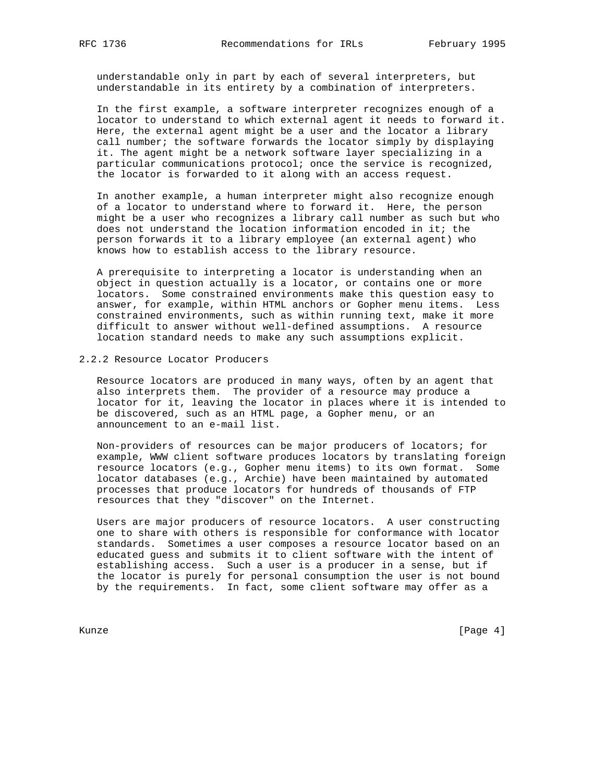understandable only in part by each of several interpreters, but understandable in its entirety by a combination of interpreters.

 In the first example, a software interpreter recognizes enough of a locator to understand to which external agent it needs to forward it. Here, the external agent might be a user and the locator a library call number; the software forwards the locator simply by displaying it. The agent might be a network software layer specializing in a particular communications protocol; once the service is recognized, the locator is forwarded to it along with an access request.

 In another example, a human interpreter might also recognize enough of a locator to understand where to forward it. Here, the person might be a user who recognizes a library call number as such but who does not understand the location information encoded in it; the person forwards it to a library employee (an external agent) who knows how to establish access to the library resource.

 A prerequisite to interpreting a locator is understanding when an object in question actually is a locator, or contains one or more locators. Some constrained environments make this question easy to answer, for example, within HTML anchors or Gopher menu items. Less constrained environments, such as within running text, make it more difficult to answer without well-defined assumptions. A resource location standard needs to make any such assumptions explicit.

## 2.2.2 Resource Locator Producers

 Resource locators are produced in many ways, often by an agent that also interprets them. The provider of a resource may produce a locator for it, leaving the locator in places where it is intended to be discovered, such as an HTML page, a Gopher menu, or an announcement to an e-mail list.

 Non-providers of resources can be major producers of locators; for example, WWW client software produces locators by translating foreign resource locators (e.g., Gopher menu items) to its own format. Some locator databases (e.g., Archie) have been maintained by automated processes that produce locators for hundreds of thousands of FTP resources that they "discover" on the Internet.

 Users are major producers of resource locators. A user constructing one to share with others is responsible for conformance with locator standards. Sometimes a user composes a resource locator based on an educated guess and submits it to client software with the intent of establishing access. Such a user is a producer in a sense, but if the locator is purely for personal consumption the user is not bound by the requirements. In fact, some client software may offer as a

Kunze [Page 4]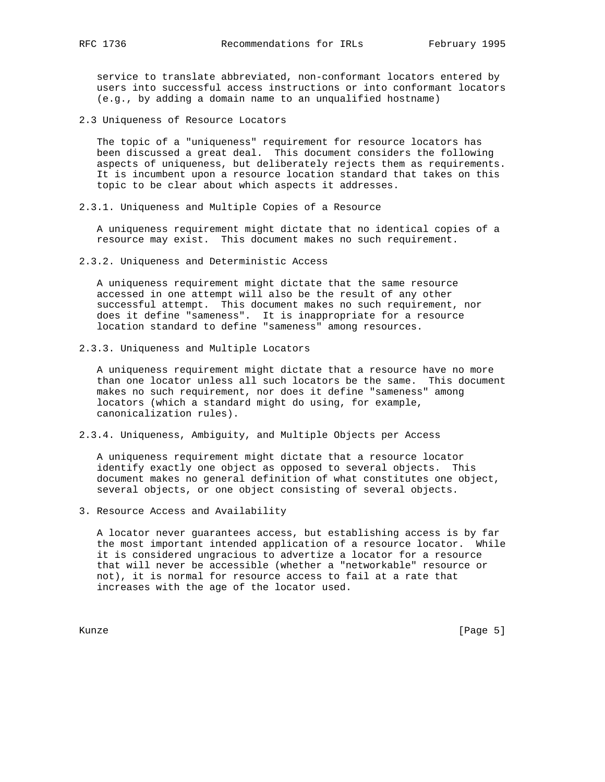service to translate abbreviated, non-conformant locators entered by users into successful access instructions or into conformant locators (e.g., by adding a domain name to an unqualified hostname)

2.3 Uniqueness of Resource Locators

 The topic of a "uniqueness" requirement for resource locators has been discussed a great deal. This document considers the following aspects of uniqueness, but deliberately rejects them as requirements. It is incumbent upon a resource location standard that takes on this topic to be clear about which aspects it addresses.

2.3.1. Uniqueness and Multiple Copies of a Resource

 A uniqueness requirement might dictate that no identical copies of a resource may exist. This document makes no such requirement.

2.3.2. Uniqueness and Deterministic Access

 A uniqueness requirement might dictate that the same resource accessed in one attempt will also be the result of any other successful attempt. This document makes no such requirement, nor does it define "sameness". It is inappropriate for a resource location standard to define "sameness" among resources.

2.3.3. Uniqueness and Multiple Locators

 A uniqueness requirement might dictate that a resource have no more than one locator unless all such locators be the same. This document makes no such requirement, nor does it define "sameness" among locators (which a standard might do using, for example, canonicalization rules).

2.3.4. Uniqueness, Ambiguity, and Multiple Objects per Access

 A uniqueness requirement might dictate that a resource locator identify exactly one object as opposed to several objects. This document makes no general definition of what constitutes one object, several objects, or one object consisting of several objects.

3. Resource Access and Availability

 A locator never guarantees access, but establishing access is by far the most important intended application of a resource locator. While it is considered ungracious to advertize a locator for a resource that will never be accessible (whether a "networkable" resource or not), it is normal for resource access to fail at a rate that increases with the age of the locator used.

Kunze [Page 5]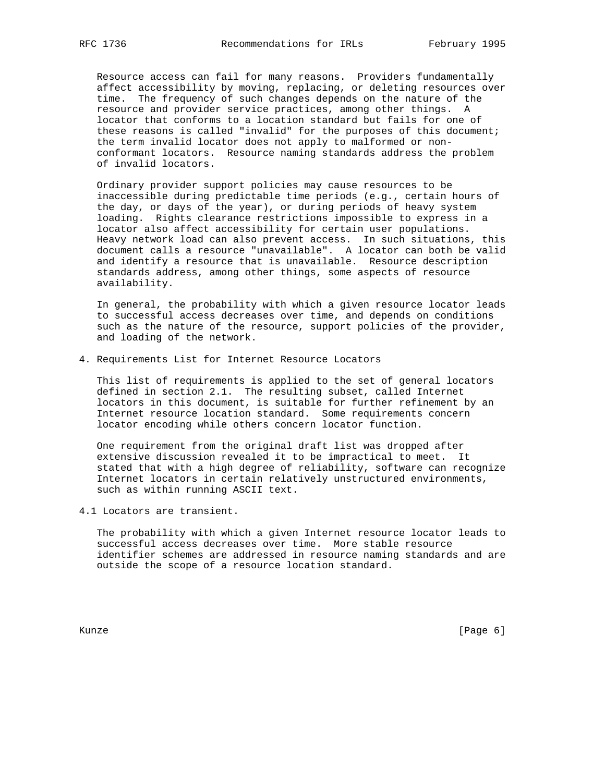Resource access can fail for many reasons. Providers fundamentally affect accessibility by moving, replacing, or deleting resources over time. The frequency of such changes depends on the nature of the resource and provider service practices, among other things. A locator that conforms to a location standard but fails for one of these reasons is called "invalid" for the purposes of this document; the term invalid locator does not apply to malformed or non conformant locators. Resource naming standards address the problem of invalid locators.

 Ordinary provider support policies may cause resources to be inaccessible during predictable time periods (e.g., certain hours of the day, or days of the year), or during periods of heavy system loading. Rights clearance restrictions impossible to express in a locator also affect accessibility for certain user populations. Heavy network load can also prevent access. In such situations, this document calls a resource "unavailable". A locator can both be valid and identify a resource that is unavailable. Resource description standards address, among other things, some aspects of resource availability.

 In general, the probability with which a given resource locator leads to successful access decreases over time, and depends on conditions such as the nature of the resource, support policies of the provider, and loading of the network.

4. Requirements List for Internet Resource Locators

 This list of requirements is applied to the set of general locators defined in section 2.1. The resulting subset, called Internet locators in this document, is suitable for further refinement by an Internet resource location standard. Some requirements concern locator encoding while others concern locator function.

 One requirement from the original draft list was dropped after extensive discussion revealed it to be impractical to meet. It stated that with a high degree of reliability, software can recognize Internet locators in certain relatively unstructured environments, such as within running ASCII text.

4.1 Locators are transient.

 The probability with which a given Internet resource locator leads to successful access decreases over time. More stable resource identifier schemes are addressed in resource naming standards and are outside the scope of a resource location standard.

Kunze [Page 6]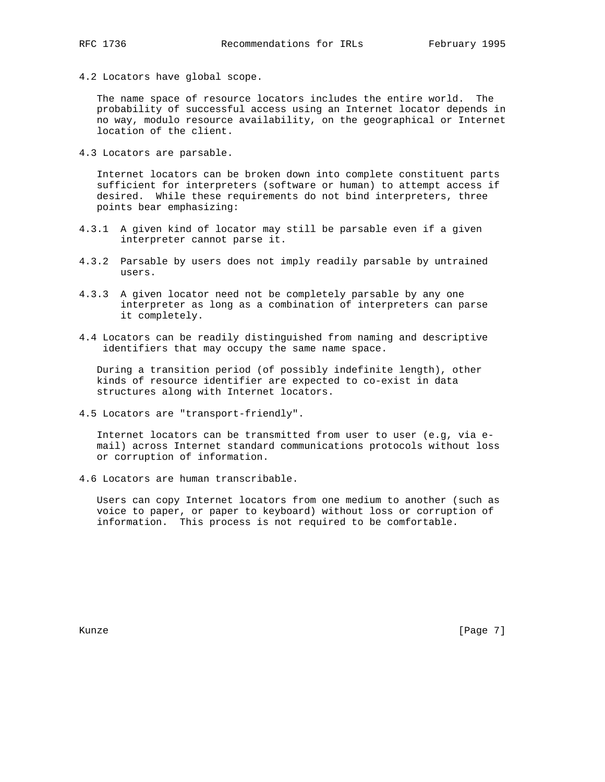4.2 Locators have global scope.

 The name space of resource locators includes the entire world. The probability of successful access using an Internet locator depends in no way, modulo resource availability, on the geographical or Internet location of the client.

4.3 Locators are parsable.

 Internet locators can be broken down into complete constituent parts sufficient for interpreters (software or human) to attempt access if desired. While these requirements do not bind interpreters, three points bear emphasizing:

- 4.3.1 A given kind of locator may still be parsable even if a given interpreter cannot parse it.
- 4.3.2 Parsable by users does not imply readily parsable by untrained users.
- 4.3.3 A given locator need not be completely parsable by any one interpreter as long as a combination of interpreters can parse it completely.
- 4.4 Locators can be readily distinguished from naming and descriptive identifiers that may occupy the same name space.

 During a transition period (of possibly indefinite length), other kinds of resource identifier are expected to co-exist in data structures along with Internet locators.

4.5 Locators are "transport-friendly".

 Internet locators can be transmitted from user to user (e.g, via e mail) across Internet standard communications protocols without loss or corruption of information.

4.6 Locators are human transcribable.

 Users can copy Internet locators from one medium to another (such as voice to paper, or paper to keyboard) without loss or corruption of information. This process is not required to be comfortable.

Kunze [Page 7]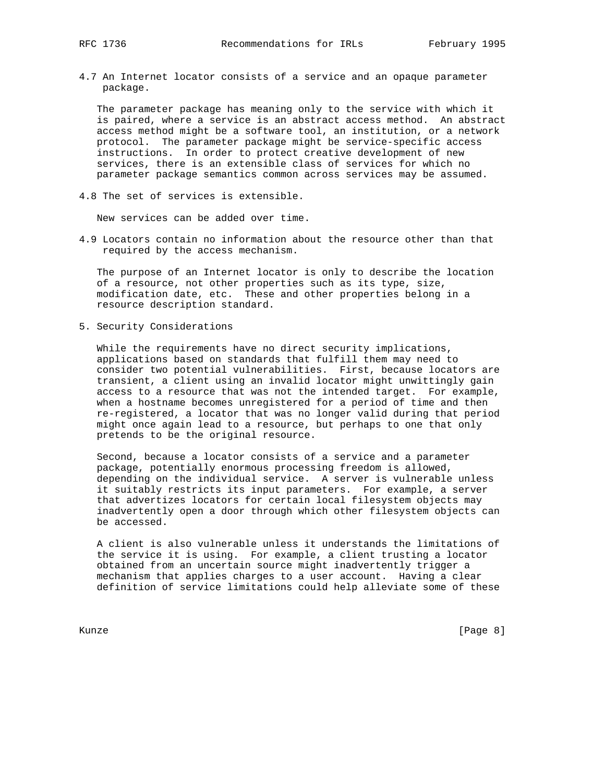4.7 An Internet locator consists of a service and an opaque parameter package.

 The parameter package has meaning only to the service with which it is paired, where a service is an abstract access method. An abstract access method might be a software tool, an institution, or a network protocol. The parameter package might be service-specific access instructions. In order to protect creative development of new services, there is an extensible class of services for which no parameter package semantics common across services may be assumed.

4.8 The set of services is extensible.

New services can be added over time.

4.9 Locators contain no information about the resource other than that required by the access mechanism.

 The purpose of an Internet locator is only to describe the location of a resource, not other properties such as its type, size, modification date, etc. These and other properties belong in a resource description standard.

5. Security Considerations

 While the requirements have no direct security implications, applications based on standards that fulfill them may need to consider two potential vulnerabilities. First, because locators are transient, a client using an invalid locator might unwittingly gain access to a resource that was not the intended target. For example, when a hostname becomes unregistered for a period of time and then re-registered, a locator that was no longer valid during that period might once again lead to a resource, but perhaps to one that only pretends to be the original resource.

 Second, because a locator consists of a service and a parameter package, potentially enormous processing freedom is allowed, depending on the individual service. A server is vulnerable unless it suitably restricts its input parameters. For example, a server that advertizes locators for certain local filesystem objects may inadvertently open a door through which other filesystem objects can be accessed.

 A client is also vulnerable unless it understands the limitations of the service it is using. For example, a client trusting a locator obtained from an uncertain source might inadvertently trigger a mechanism that applies charges to a user account. Having a clear definition of service limitations could help alleviate some of these

Kunze [Page 8]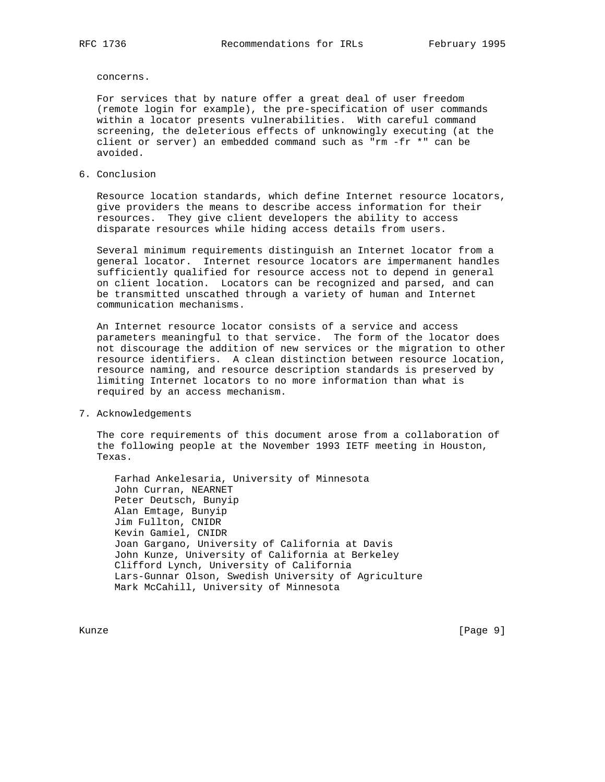concerns.

 For services that by nature offer a great deal of user freedom (remote login for example), the pre-specification of user commands within a locator presents vulnerabilities. With careful command screening, the deleterious effects of unknowingly executing (at the client or server) an embedded command such as "rm -fr \*" can be avoided.

6. Conclusion

 Resource location standards, which define Internet resource locators, give providers the means to describe access information for their resources. They give client developers the ability to access disparate resources while hiding access details from users.

 Several minimum requirements distinguish an Internet locator from a general locator. Internet resource locators are impermanent handles sufficiently qualified for resource access not to depend in general on client location. Locators can be recognized and parsed, and can be transmitted unscathed through a variety of human and Internet communication mechanisms.

 An Internet resource locator consists of a service and access parameters meaningful to that service. The form of the locator does not discourage the addition of new services or the migration to other resource identifiers. A clean distinction between resource location, resource naming, and resource description standards is preserved by limiting Internet locators to no more information than what is required by an access mechanism.

7. Acknowledgements

 The core requirements of this document arose from a collaboration of the following people at the November 1993 IETF meeting in Houston, Texas.

 Farhad Ankelesaria, University of Minnesota John Curran, NEARNET Peter Deutsch, Bunyip Alan Emtage, Bunyip Jim Fullton, CNIDR Kevin Gamiel, CNIDR Joan Gargano, University of California at Davis John Kunze, University of California at Berkeley Clifford Lynch, University of California Lars-Gunnar Olson, Swedish University of Agriculture Mark McCahill, University of Minnesota

Kunze [Page 9]